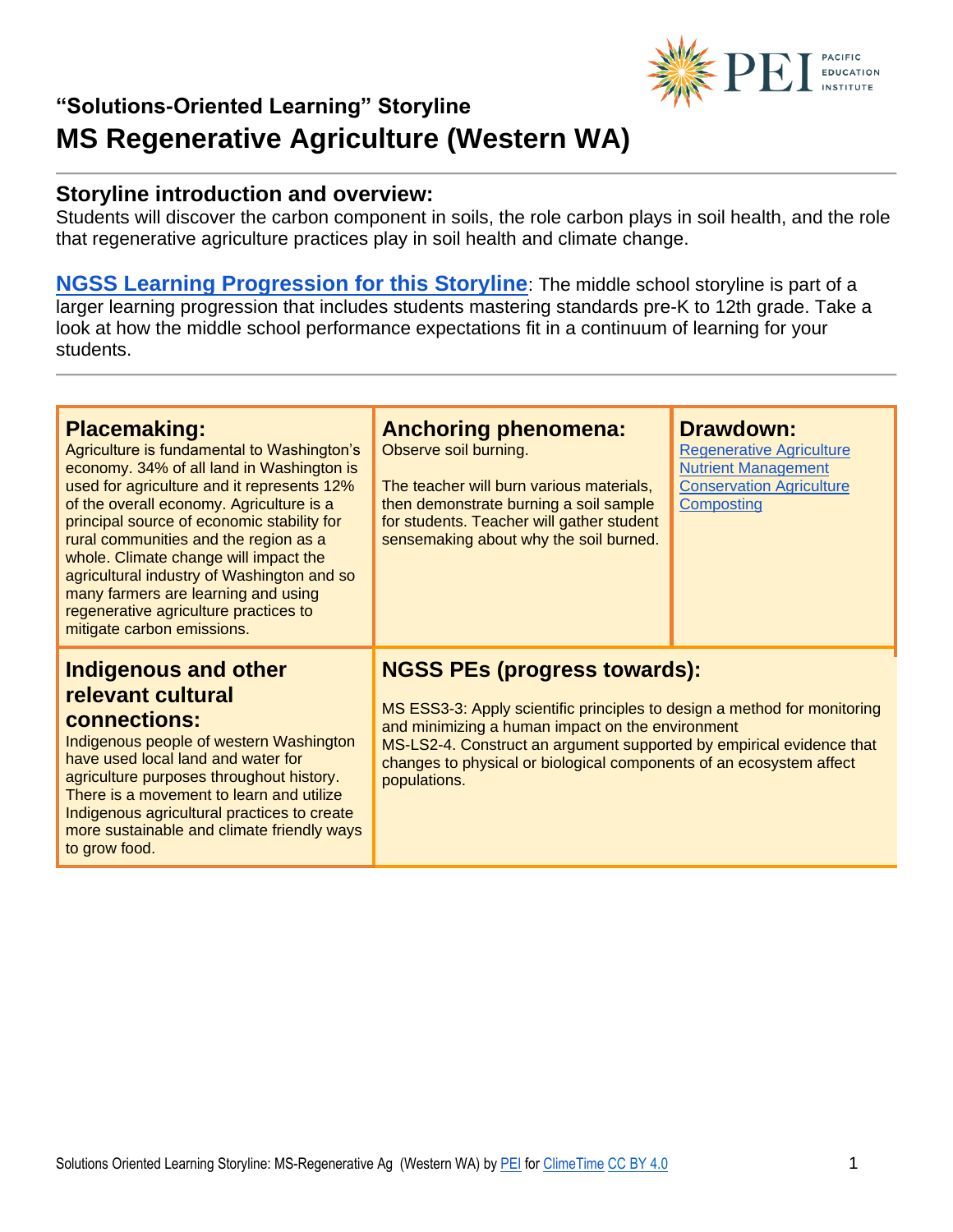

#### **Storyline introduction and overview:**

Students will discover the carbon component in soils, the role carbon plays in soil health, and the role that regenerative agriculture practices play in soil health and climate change.

**[NGSS Learning Progression for this Storyline](https://pacificeductioninstitute.sharepoint.com/:x:/s/Program/EQ6jx72eybpMoG6LAwvMxSIBOk8hoF2Tlk827quJB_Kg0g?e=LAqykm)**: The middle school storyline is part of a larger learning progression that includes students mastering standards pre-K to 12th grade. Take a look at how the middle school performance expectations fit in a continuum of learning for your students.

| <b>Placemaking:</b><br>Agriculture is fundamental to Washington's<br>economy. 34% of all land in Washington is<br>used for agriculture and it represents 12%<br>of the overall economy. Agriculture is a<br>principal source of economic stability for<br>rural communities and the region as a<br>whole. Climate change will impact the<br>agricultural industry of Washington and so<br>many farmers are learning and using<br>regenerative agriculture practices to<br>mitigate carbon emissions. | <b>Anchoring phenomena:</b><br>Observe soil burning.<br>The teacher will burn various materials,<br>then demonstrate burning a soil sample<br>for students. Teacher will gather student<br>sensemaking about why the soil burned.                                                                                                  | <b>Drawdown:</b><br><b>Regenerative Agriculture</b><br><b>Nutrient Management</b><br><b>Conservation Agriculture</b><br>Composting |
|------------------------------------------------------------------------------------------------------------------------------------------------------------------------------------------------------------------------------------------------------------------------------------------------------------------------------------------------------------------------------------------------------------------------------------------------------------------------------------------------------|------------------------------------------------------------------------------------------------------------------------------------------------------------------------------------------------------------------------------------------------------------------------------------------------------------------------------------|------------------------------------------------------------------------------------------------------------------------------------|
| <b>Indigenous and other</b><br>relevant cultural<br>connections:<br>Indigenous people of western Washington<br>have used local land and water for<br>agriculture purposes throughout history.<br>There is a movement to learn and utilize<br>Indigenous agricultural practices to create<br>more sustainable and climate friendly ways<br>to grow food.                                                                                                                                              | <b>NGSS PEs (progress towards):</b><br>MS ESS3-3: Apply scientific principles to design a method for monitoring<br>and minimizing a human impact on the environment<br>MS-LS2-4. Construct an argument supported by empirical evidence that<br>changes to physical or biological components of an ecosystem affect<br>populations. |                                                                                                                                    |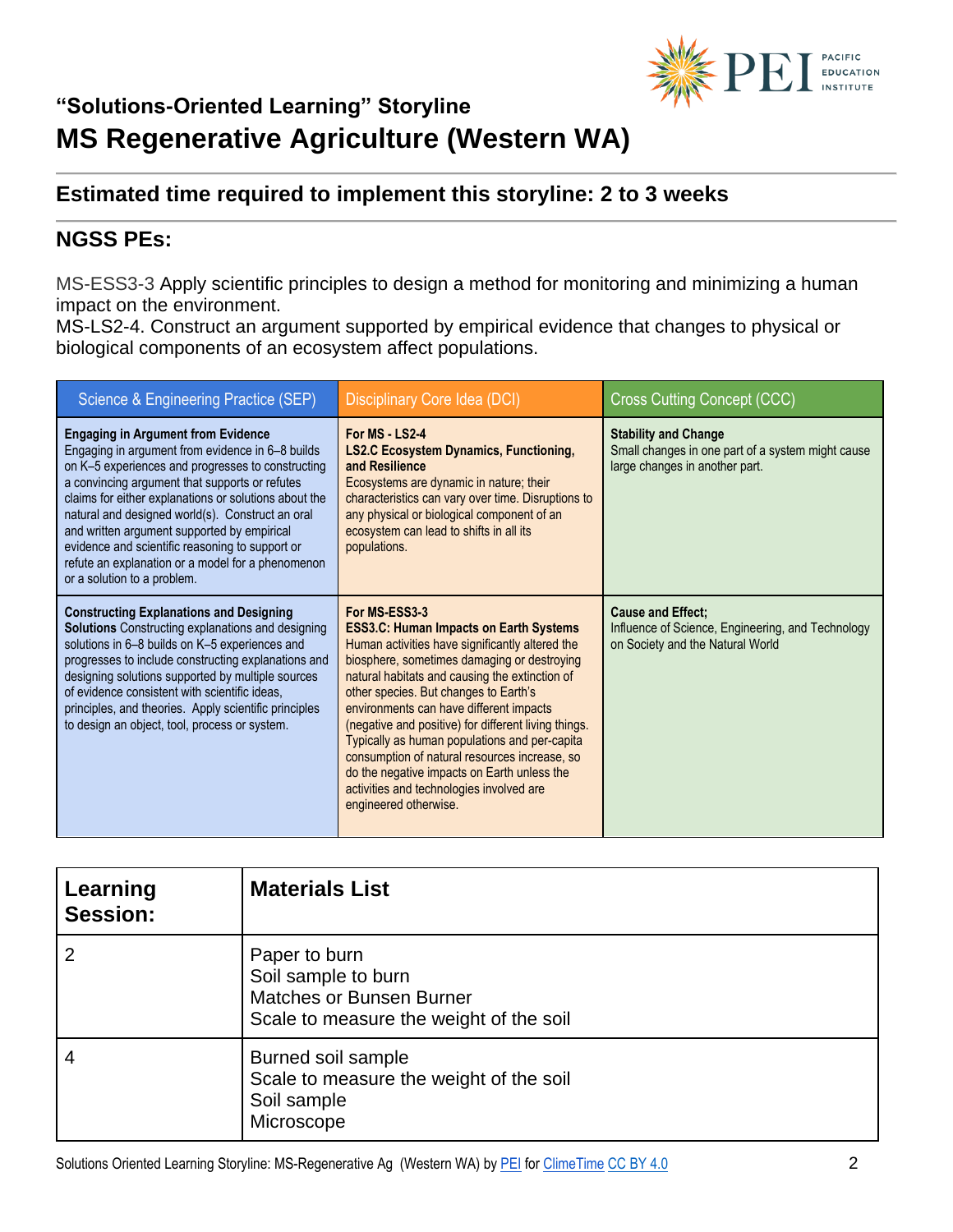

### **Estimated time required to implement this storyline: 2 to 3 weeks**

### **NGSS PEs:**

MS-ESS3-3 Apply scientific principles to design a method for monitoring and minimizing a human impact on the environment.

MS-LS2-4. Construct an argument supported by empirical evidence that changes to physical or biological components of an ecosystem affect populations.

| Science & Engineering Practice (SEP)                                                                                                                                                                                                                                                                                                                                                                                                                                                                    | Disciplinary Core Idea (DCI)                                                                                                                                                                                                                                                                                                                                                                                                                                                                                                                                                         | <b>Cross Cutting Concept (CCC)</b>                                                                                 |
|---------------------------------------------------------------------------------------------------------------------------------------------------------------------------------------------------------------------------------------------------------------------------------------------------------------------------------------------------------------------------------------------------------------------------------------------------------------------------------------------------------|--------------------------------------------------------------------------------------------------------------------------------------------------------------------------------------------------------------------------------------------------------------------------------------------------------------------------------------------------------------------------------------------------------------------------------------------------------------------------------------------------------------------------------------------------------------------------------------|--------------------------------------------------------------------------------------------------------------------|
| <b>Engaging in Argument from Evidence</b><br>Engaging in argument from evidence in 6-8 builds<br>on K-5 experiences and progresses to constructing<br>a convincing argument that supports or refutes<br>claims for either explanations or solutions about the<br>natural and designed world(s). Construct an oral<br>and written argument supported by empirical<br>evidence and scientific reasoning to support or<br>refute an explanation or a model for a phenomenon<br>or a solution to a problem. | For MS - 1 S2-4<br><b>LS2.C Ecosystem Dynamics, Functioning,</b><br>and Resilience<br>Ecosystems are dynamic in nature; their<br>characteristics can vary over time. Disruptions to<br>any physical or biological component of an<br>ecosystem can lead to shifts in all its<br>populations.                                                                                                                                                                                                                                                                                         | <b>Stability and Change</b><br>Small changes in one part of a system might cause<br>large changes in another part. |
| <b>Constructing Explanations and Designing</b><br><b>Solutions</b> Constructing explanations and designing<br>solutions in 6-8 builds on K-5 experiences and<br>progresses to include constructing explanations and<br>designing solutions supported by multiple sources<br>of evidence consistent with scientific ideas,<br>principles, and theories. Apply scientific principles<br>to design an object, tool, process or system.                                                                     | For MS-ESS3-3<br><b>ESS3.C: Human Impacts on Earth Systems</b><br>Human activities have significantly altered the<br>biosphere, sometimes damaging or destroying<br>natural habitats and causing the extinction of<br>other species. But changes to Earth's<br>environments can have different impacts<br>(negative and positive) for different living things.<br>Typically as human populations and per-capita<br>consumption of natural resources increase, so<br>do the negative impacts on Earth unless the<br>activities and technologies involved are<br>engineered otherwise. | <b>Cause and Effect:</b><br>Influence of Science, Engineering, and Technology<br>on Society and the Natural World  |

| Learning<br>Session: | <b>Materials List</b>                                                                                              |
|----------------------|--------------------------------------------------------------------------------------------------------------------|
| $\overline{2}$       | Paper to burn<br>Soil sample to burn<br><b>Matches or Bunsen Burner</b><br>Scale to measure the weight of the soil |
| 4                    | Burned soil sample<br>Scale to measure the weight of the soil<br>Soil sample<br>Microscope                         |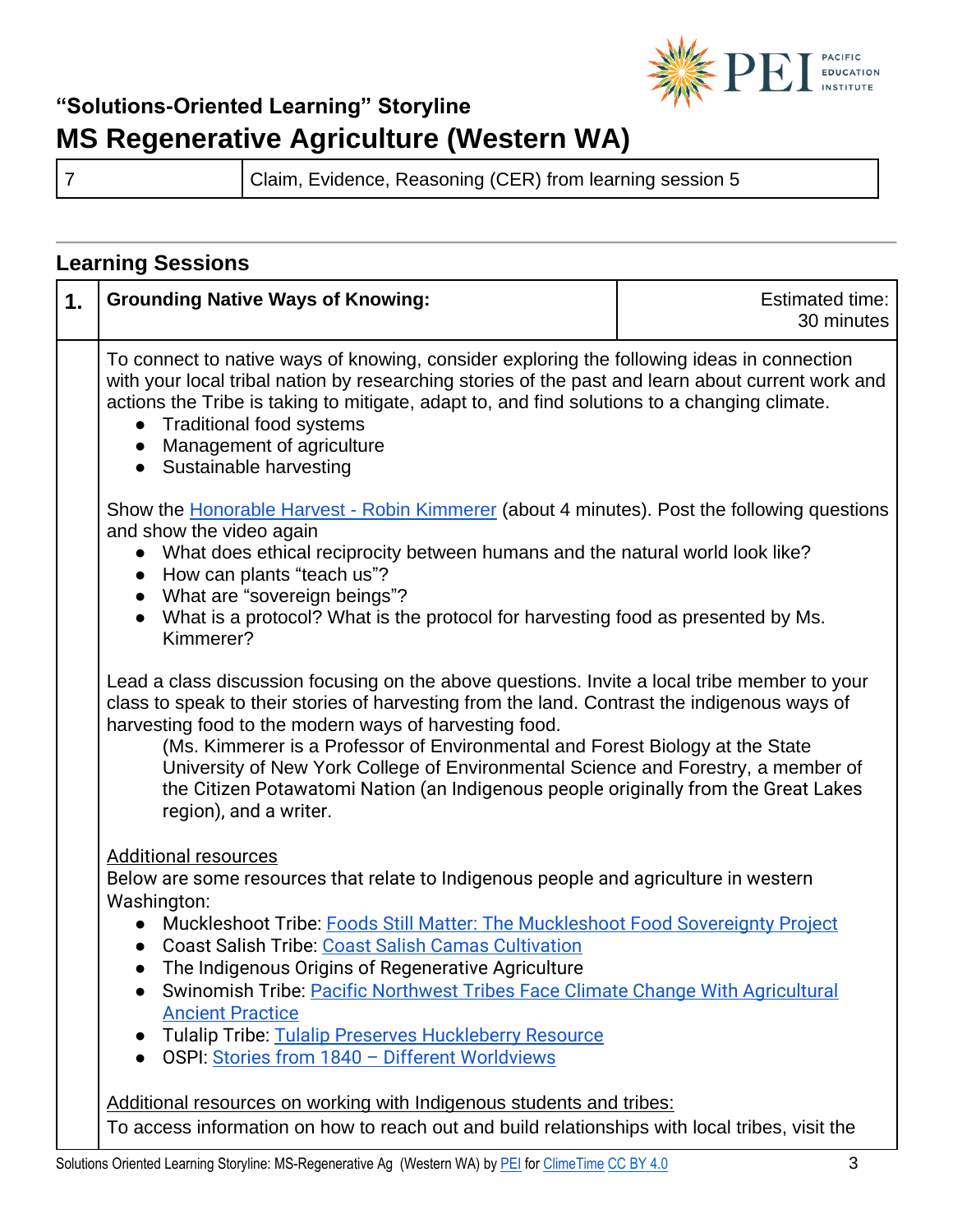

7 Claim, Evidence, Reasoning (CER) from learning session 5

#### **Learning Sessions 1.** Grounding Native Ways of Knowing: **Example 20** Estimated time: 30 minutes To connect to native ways of knowing, consider exploring the following ideas in connection with your local tribal nation by researching stories of the past and learn about current work and actions the Tribe is taking to mitigate, adapt to, and find solutions to a changing climate. • Traditional food systems ● Management of agriculture • Sustainable harvesting Show the **Honorable Harvest - Robin Kimmerer** (about 4 minutes). Post the following questions and show the video again ● What does ethical reciprocity between humans and the natural world look like? ● How can plants "teach us"? ● What are "sovereign beings"? ● What is a protocol? What is the protocol for harvesting food as presented by Ms. Kimmerer? Lead a class discussion focusing on the above questions. Invite a local tribe member to your class to speak to their stories of harvesting from the land. Contrast the indigenous ways of harvesting food to the modern ways of harvesting food. (Ms. Kimmerer is a Professor of Environmental and Forest Biology at the State University of New York College of Environmental Science and Forestry, a member of the Citizen Potawatomi Nation (an Indigenous people originally from the Great Lakes region), and a writer. Additional resources Below are some resources that relate to Indigenous people and agriculture in western Washington: ● Muckleshoot Tribe: [Foods Still Matter: The Muckleshoot Food Sovereignty Project](https://americanindian.si.edu/nk360/pnw-history-culture/muckleshoot) ● Coast Salish Tribe: [Coast Salish Camas Cultivation](https://www.historylink.org/File/11220) ● The Indigenous Origins of Regenerative Agriculture ● Swinomish Tribe: Pacific Northwest Tribes Face Climate Change With Agricultural [Ancient Practice](https://www.npr.org/2019/10/08/767896285/pacific-northwest-tribes-face-climate-change-with-agricultural-ancient-practice)  ● Tulalip Tribe: [Tulalip Preserves Huckleberry Resource](https://nwtreatytribes.org/tulalip-preserves-huckleberry-resource/)  ● OSPI: Stories from 1840 - Different Worldviews Additional resources on working with Indigenous students and tribes: To access information on how to reach out and build relationships with local tribes, visit the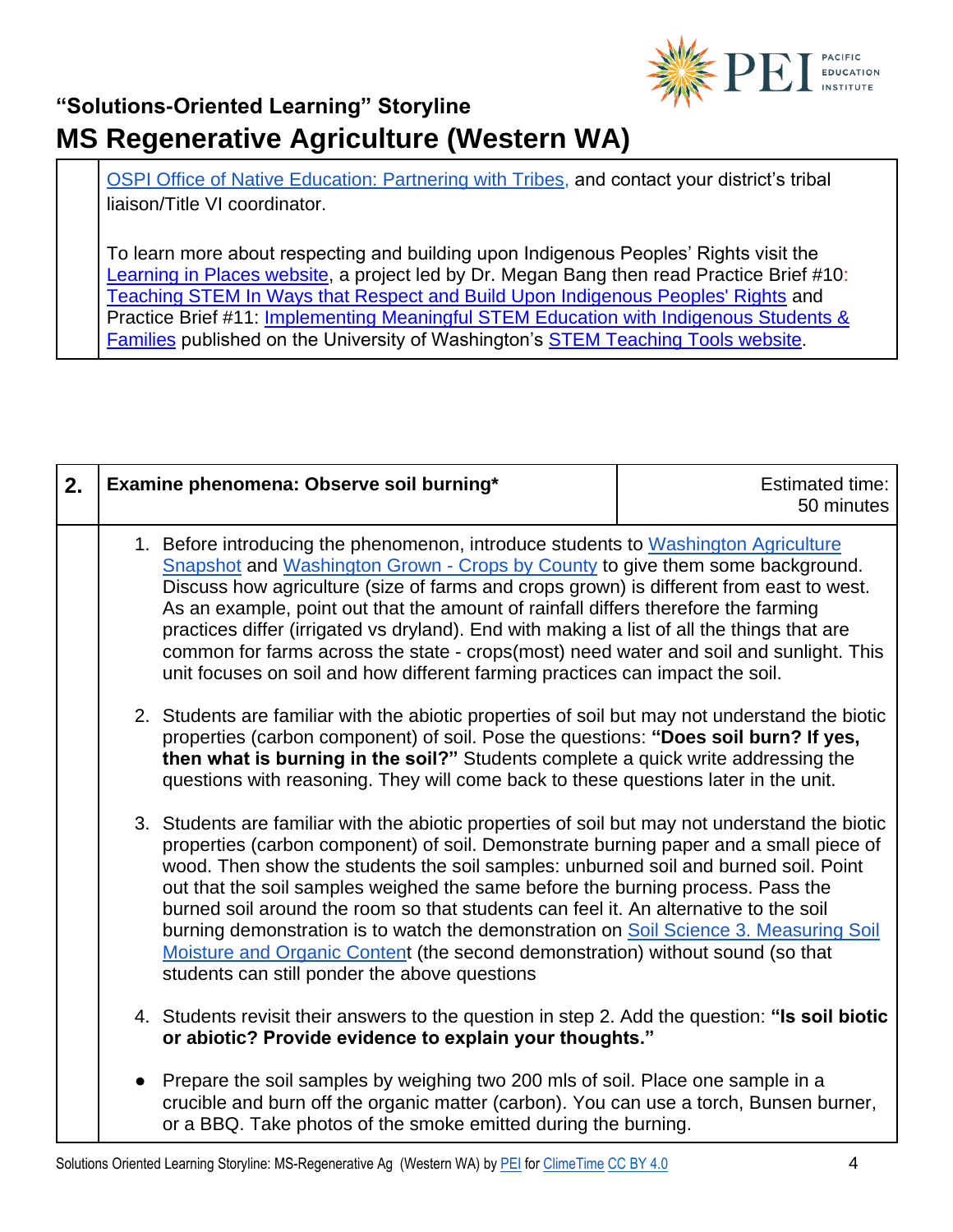

[OSPI Office of Native Education: Partnering with Tribes,](https://www.k12.wa.us/student-success/resources-subject-area/time-immemorial-tribal-sovereignty-washington-state/partnering-tribes) and contact your district's tribal liaison/Title VI coordinator.

To learn more about respecting and building upon Indigenous Peoples' Rights visit th[e](http://learninginplaces.org/) [Learning in Places website,](http://learninginplaces.org/) a project led by Dr. Megan Bang then read Practice Brief #10[:](http://stemteachingtools.org/brief/10) [Teaching STEM In Ways that Respect and Build Upon Indigenous Peoples' Rights](http://stemteachingtools.org/brief/10) and Practice Brief #11[:](http://stemteachingtools.org/brief/11) [Implementing Meaningful STEM Education with Indigenous Students &](http://stemteachingtools.org/brief/11)  [Families](http://stemteachingtools.org/brief/11) published on the University of Washington's [STEM Teaching Tools website](http://stemteachingtools.org/).

| 2. | Examine phenomena: Observe soil burning*                                                                                                                                                                                                                                                                                                                                                                                                                                                                                                                                                                                                                                              | <b>Estimated time:</b><br>50 minutes |
|----|---------------------------------------------------------------------------------------------------------------------------------------------------------------------------------------------------------------------------------------------------------------------------------------------------------------------------------------------------------------------------------------------------------------------------------------------------------------------------------------------------------------------------------------------------------------------------------------------------------------------------------------------------------------------------------------|--------------------------------------|
|    | 1. Before introducing the phenomenon, introduce students to Washington Agriculture<br>Snapshot and Washington Grown - Crops by County to give them some background.<br>Discuss how agriculture (size of farms and crops grown) is different from east to west.<br>As an example, point out that the amount of rainfall differs therefore the farming<br>practices differ (irrigated vs dryland). End with making a list of all the things that are<br>common for farms across the state - crops(most) need water and soil and sunlight. This<br>unit focuses on soil and how different farming practices can impact the soil.                                                         |                                      |
|    | 2. Students are familiar with the abiotic properties of soil but may not understand the biotic<br>properties (carbon component) of soil. Pose the questions: "Does soil burn? If yes,<br>then what is burning in the soil?" Students complete a quick write addressing the<br>questions with reasoning. They will come back to these questions later in the unit.                                                                                                                                                                                                                                                                                                                     |                                      |
|    | 3. Students are familiar with the abiotic properties of soil but may not understand the biotic<br>properties (carbon component) of soil. Demonstrate burning paper and a small piece of<br>wood. Then show the students the soil samples: unburned soil and burned soil. Point<br>out that the soil samples weighed the same before the burning process. Pass the<br>burned soil around the room so that students can feel it. An alternative to the soil<br>burning demonstration is to watch the demonstration on Soil Science 3. Measuring Soil<br>Moisture and Organic Content (the second demonstration) without sound (so that<br>students can still ponder the above questions |                                      |
|    | 4. Students revisit their answers to the question in step 2. Add the question: "Is soil biotic<br>or abiotic? Provide evidence to explain your thoughts."                                                                                                                                                                                                                                                                                                                                                                                                                                                                                                                             |                                      |
|    | Prepare the soil samples by weighing two 200 mls of soil. Place one sample in a<br>crucible and burn off the organic matter (carbon). You can use a torch, Bunsen burner,<br>or a BBQ. Take photos of the smoke emitted during the burning.                                                                                                                                                                                                                                                                                                                                                                                                                                           |                                      |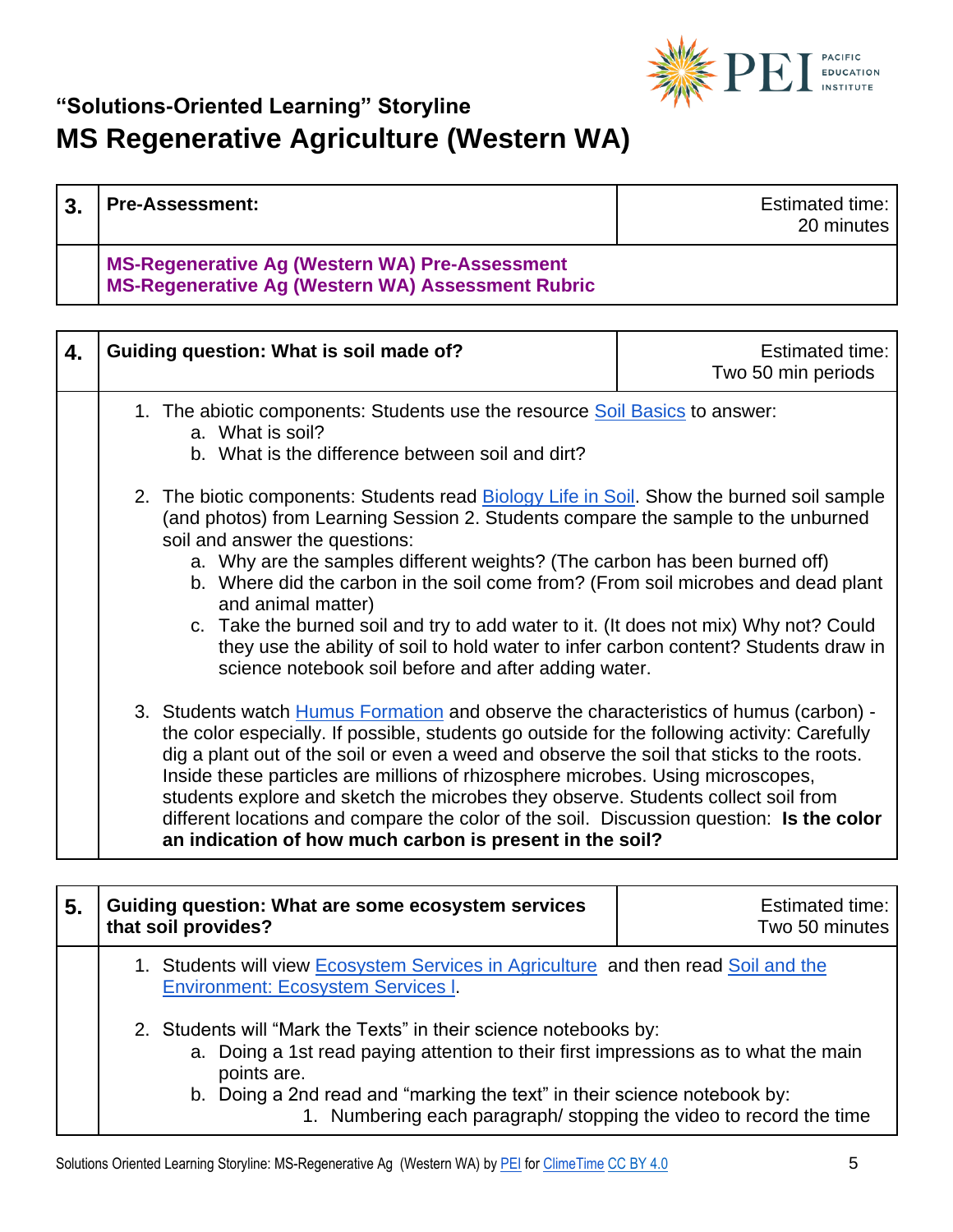

| $\mathbf{3}$ | <b>Pre-Assessment:</b>                                                                                     | <b>Estimated time:</b><br>20 minutes |
|--------------|------------------------------------------------------------------------------------------------------------|--------------------------------------|
|              | MS-Regenerative Ag (Western WA) Pre-Assessment<br><b>MS-Regenerative Ag (Western WA) Assessment Rubric</b> |                                      |

| 4. | Guiding question: What is soil made of?                                                                                                                                                                                                                                                                                                                                                                                                                                                                                                                                                                                                                   | <b>Estimated time:</b><br>Two 50 min periods |
|----|-----------------------------------------------------------------------------------------------------------------------------------------------------------------------------------------------------------------------------------------------------------------------------------------------------------------------------------------------------------------------------------------------------------------------------------------------------------------------------------------------------------------------------------------------------------------------------------------------------------------------------------------------------------|----------------------------------------------|
|    | 1. The abiotic components: Students use the resource Soil Basics to answer:<br>a. What is soil?<br>b. What is the difference between soil and dirt?                                                                                                                                                                                                                                                                                                                                                                                                                                                                                                       |                                              |
|    | 2. The biotic components: Students read <b>Biology Life in Soil</b> . Show the burned soil sample<br>(and photos) from Learning Session 2. Students compare the sample to the unburned<br>soil and answer the questions:<br>a. Why are the samples different weights? (The carbon has been burned off)<br>b. Where did the carbon in the soil come from? (From soil microbes and dead plant<br>and animal matter)<br>c. Take the burned soil and try to add water to it. (It does not mix) Why not? Could<br>they use the ability of soil to hold water to infer carbon content? Students draw in<br>science notebook soil before and after adding water. |                                              |
|    | 3. Students watch <b>Humus Formation</b> and observe the characteristics of humus (carbon) -<br>the color especially. If possible, students go outside for the following activity: Carefully<br>dig a plant out of the soil or even a weed and observe the soil that sticks to the roots.<br>Inside these particles are millions of rhizosphere microbes. Using microscopes,<br>students explore and sketch the microbes they observe. Students collect soil from<br>different locations and compare the color of the soil. Discussion question: Is the color<br>an indication of how much carbon is present in the soil?                                 |                                              |

| 5. | Guiding question: What are some ecosystem services<br>that soil provides?                                                                                              | Estimated time:<br>Two 50 minutes |
|----|------------------------------------------------------------------------------------------------------------------------------------------------------------------------|-----------------------------------|
|    | 1. Students will view Ecosystem Services in Agriculture and then read Soil and the<br><b>Environment: Ecosystem Services I.</b>                                        |                                   |
|    | 2. Students will "Mark the Texts" in their science notebooks by:<br>a. Doing a 1st read paying attention to their first impressions as to what the main<br>points are. |                                   |
|    | b. Doing a 2nd read and "marking the text" in their science notebook by:<br>1. Numbering each paragraph/stopping the video to record the time                          |                                   |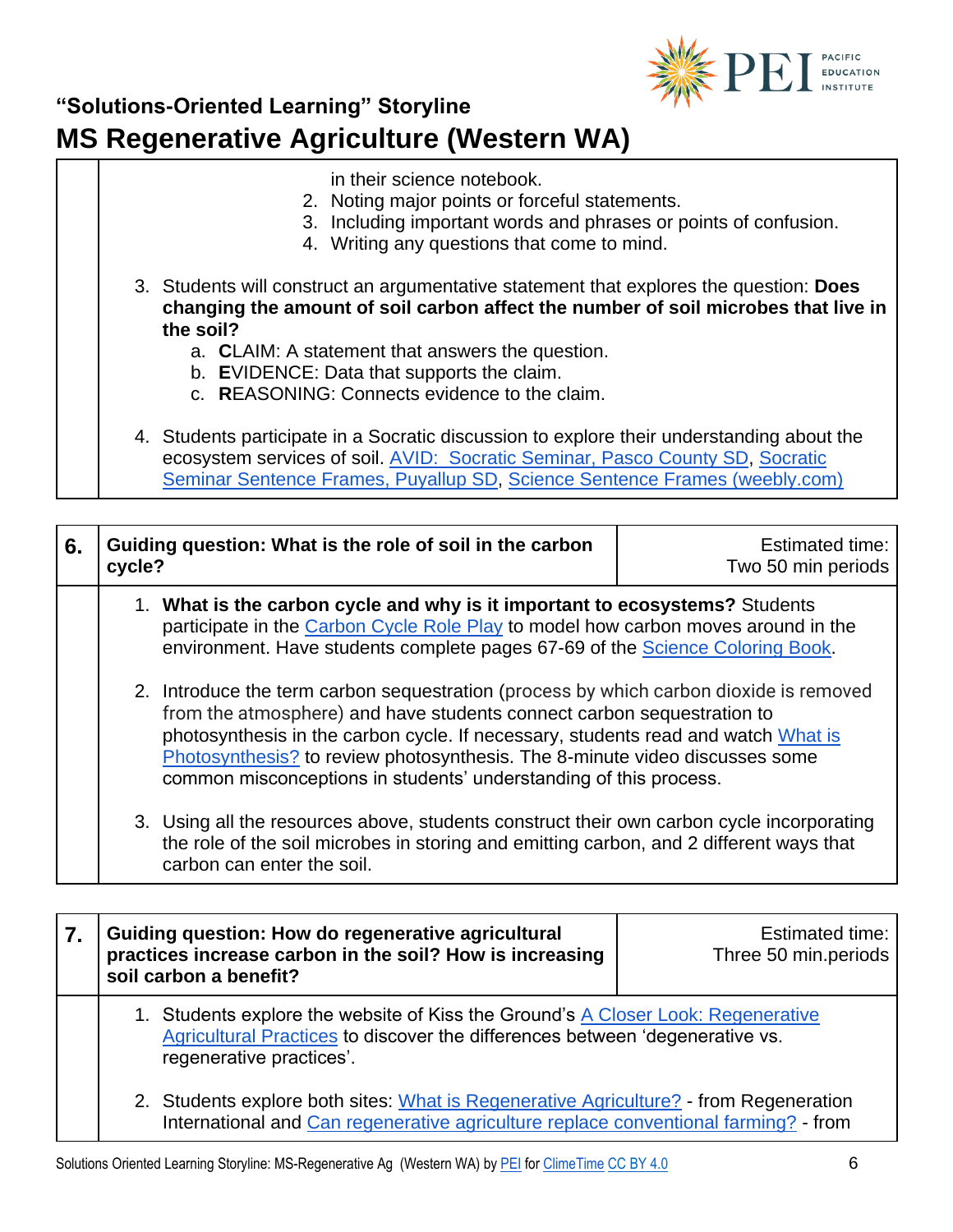

- in their science notebook.
- 2. Noting major points or forceful statements.
- 3. Including important words and phrases or points of confusion.
- 4. Writing any questions that come to mind.
- 3. Students will construct an argumentative statement that explores the question: **Does changing the amount of soil carbon affect the number of soil microbes that live in the soil?**
	- a. **C**LAIM: A statement that answers the question.
	- b. **E**VIDENCE: Data that supports the claim.
	- c. **R**EASONING: Connects evidence to the claim.
- 4. Students participate in a Socratic discussion to explore their understanding about the ecosystem services of soil. [AVID: Socratic Seminar, Pasco County SD,](https://pms.pasco.k12.fl.us/wp-content/uploads/pms/2014/08/Socratic-Seminar.pdf) [Socratic](https://puyallupsd-my.sharepoint.com/personal/gistekl_puyallup_k12_wa_us/Documents/Evaluation%202020_21/Evaluation%202019-2020/Evaluation%202017%202018/Socratic%20Seminar%20(Sentence%20Starters%20handout).pdf)  [Seminar Sentence Frames, Puyallup SD,](https://puyallupsd-my.sharepoint.com/personal/gistekl_puyallup_k12_wa_us/Documents/Evaluation%202020_21/Evaluation%202019-2020/Evaluation%202017%202018/Socratic%20Seminar%20(Sentence%20Starters%20handout).pdf) [Science Sentence Frames \(weebly.com\)](http://ccsdssl.weebly.com/uploads/1/8/1/3/18139151/science_sentence_frames.pdf)

| 6. | Guiding question: What is the role of soil in the carbon<br>cycle?                                                                                                                                                                                                                                                                                                                                        | <b>Estimated time:</b><br>Two 50 min periods |
|----|-----------------------------------------------------------------------------------------------------------------------------------------------------------------------------------------------------------------------------------------------------------------------------------------------------------------------------------------------------------------------------------------------------------|----------------------------------------------|
|    | 1. What is the carbon cycle and why is it important to ecosystems? Students<br>participate in the Carbon Cycle Role Play to model how carbon moves around in the<br>environment. Have students complete pages 67-69 of the Science Coloring Book.                                                                                                                                                         |                                              |
|    | 2. Introduce the term carbon sequestration (process by which carbon dioxide is removed<br>from the atmosphere) and have students connect carbon sequestration to<br>photosynthesis in the carbon cycle. If necessary, students read and watch What is<br>Photosynthesis? to review photosynthesis. The 8-minute video discusses some<br>common misconceptions in students' understanding of this process. |                                              |
|    | 3. Using all the resources above, students construct their own carbon cycle incorporating<br>the role of the soil microbes in storing and emitting carbon, and 2 different ways that<br>carbon can enter the soil.                                                                                                                                                                                        |                                              |

| Guiding question: How do regenerative agricultural<br>practices increase carbon in the soil? How is increasing<br>soil carbon a benefit?                                                     | Estimated time:<br>Three 50 min.periods |
|----------------------------------------------------------------------------------------------------------------------------------------------------------------------------------------------|-----------------------------------------|
| 1. Students explore the website of Kiss the Ground's A Closer Look: Regenerative<br>Agricultural Practices to discover the differences between 'degenerative vs.<br>regenerative practices'. |                                         |
| 2. Students explore both sites: What is Regenerative Agriculture? - from Regeneration<br>International and Can regenerative agriculture replace conventional farming? - from                 |                                         |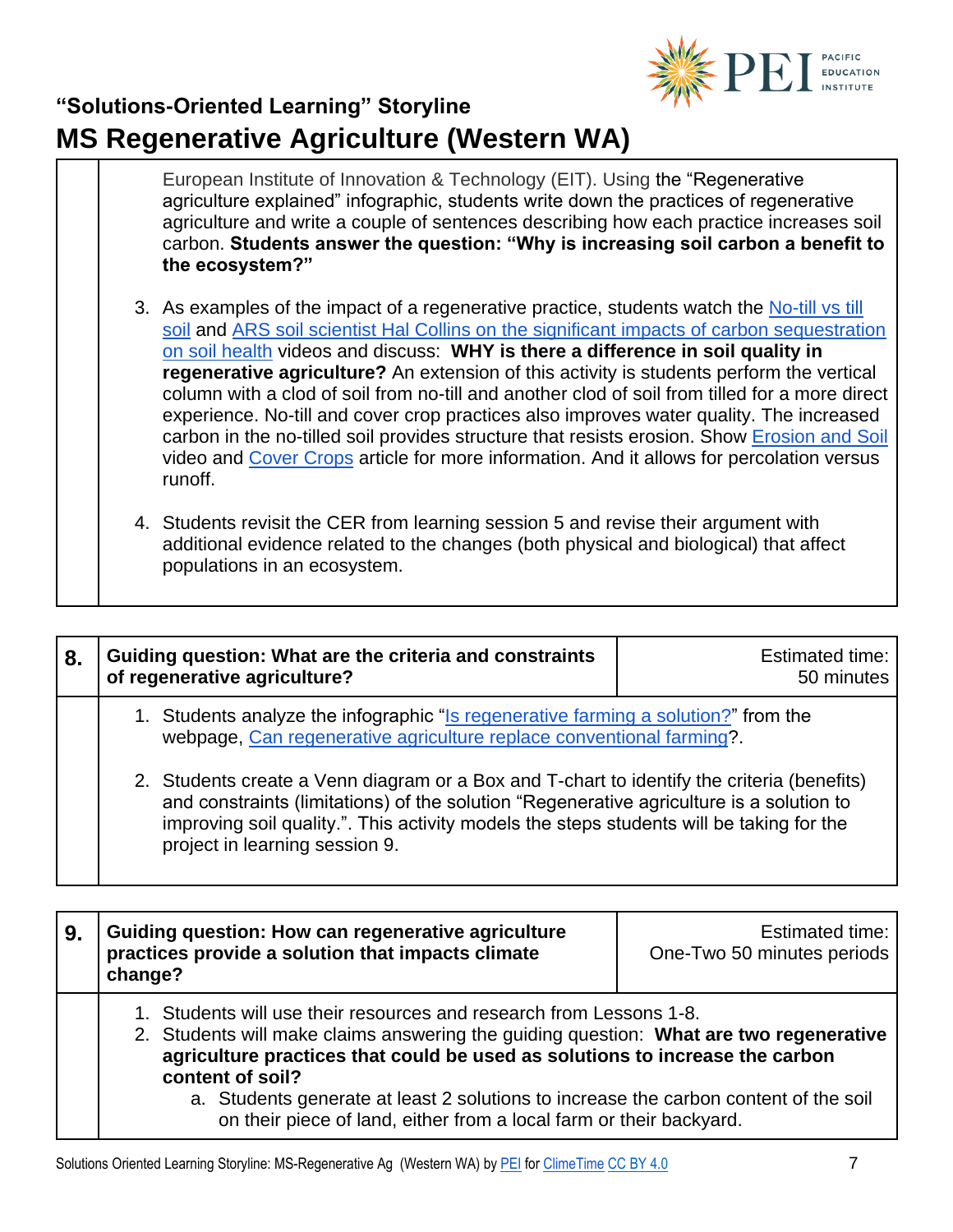

European Institute of Innovation & Technology (EIT). Using the "Regenerative agriculture explained" infographic, students write down the practices of regenerative agriculture and write a couple of sentences describing how each practice increases soil carbon. **Students answer the question: "Why is increasing soil carbon a benefit to the ecosystem?"**

- 3. As examples of the impact of a regenerative practice, students watch the [No-till vs till](https://www.youtube.com/watch?v=q1aR5OLgcc0)  [soil](https://www.youtube.com/watch?v=q1aR5OLgcc0) and [ARS soil scientist Hal Collins on the significant impacts of carbon sequestration](https://www.youtube.com/watch?v=IfUyIxWTfig)  [on soil health](https://www.youtube.com/watch?v=IfUyIxWTfig) videos and discuss: **WHY is there a difference in soil quality in regenerative agriculture?** An extension of this activity is students perform the vertical column with a clod of soil from no-till and another clod of soil from tilled for a more direct experience. No-till and cover crop practices also improves water quality. The increased carbon in the no-tilled soil provides structure that resists erosion. Show [Erosion and Soil](https://www.youtube.com/watch?v=im4HVXMGI68) video and [Cover Crops](https://extension.wsu.edu/snohomish/covercrops/) article for more information. And it allows for percolation versus runoff.
- 4. Students revisit the CER from learning session 5 and revise their argument with additional evidence related to the changes (both physical and biological) that affect populations in an ecosystem.

| 8. | Guiding question: What are the criteria and constraints<br>of regenerative agriculture?                                                                                                                                                                                                                              | Estimated time:<br>50 minutes |
|----|----------------------------------------------------------------------------------------------------------------------------------------------------------------------------------------------------------------------------------------------------------------------------------------------------------------------|-------------------------------|
|    | 1. Students analyze the infographic "Is regenerative farming a solution?" from the<br>webpage, Can regenerative agriculture replace conventional farming?.                                                                                                                                                           |                               |
|    | 2. Students create a Venn diagram or a Box and T-chart to identify the criteria (benefits)<br>and constraints (limitations) of the solution "Regenerative agriculture is a solution to<br>improving soil quality.". This activity models the steps students will be taking for the<br>project in learning session 9. |                               |

| 9. | Guiding question: How can regenerative agriculture<br>practices provide a solution that impacts climate<br>change?                                                                                                                                                                                                                                                                                                               | Estimated time:<br>One-Two 50 minutes periods |
|----|----------------------------------------------------------------------------------------------------------------------------------------------------------------------------------------------------------------------------------------------------------------------------------------------------------------------------------------------------------------------------------------------------------------------------------|-----------------------------------------------|
|    | 1. Students will use their resources and research from Lessons 1-8.<br>2. Students will make claims answering the quiding question: What are two regenerative<br>agriculture practices that could be used as solutions to increase the carbon<br>content of soil?<br>a. Students generate at least 2 solutions to increase the carbon content of the soil<br>on their piece of land, either from a local farm or their backyard. |                                               |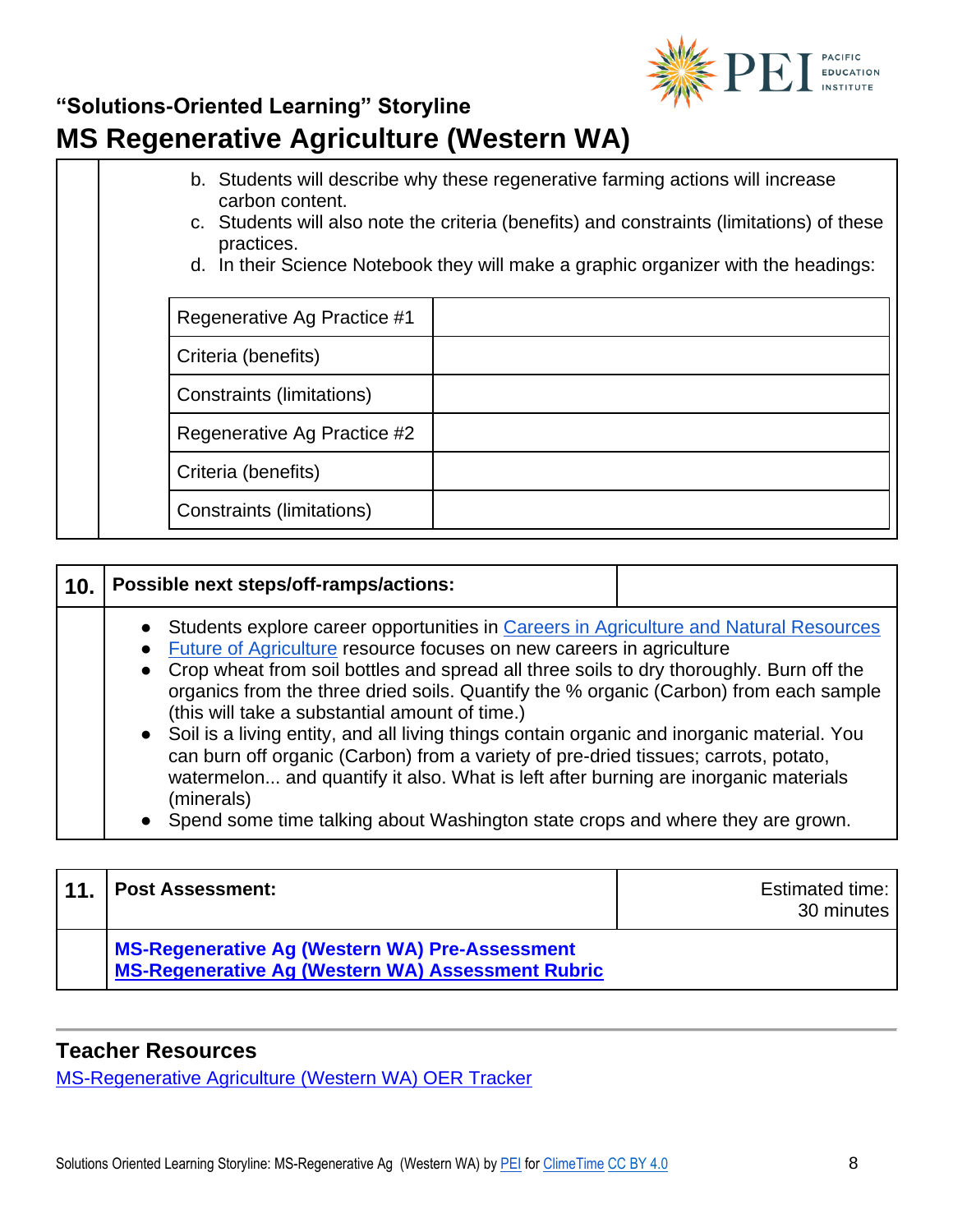

- b. Students will describe why these regenerative farming actions will increase carbon content.
- c. Students will also note the criteria (benefits) and constraints (limitations) of these practices.
- d. In their Science Notebook they will make a graphic organizer with the headings:

| Regenerative Ag Practice #1 |  |
|-----------------------------|--|
| Criteria (benefits)         |  |
| Constraints (limitations)   |  |
| Regenerative Ag Practice #2 |  |
| Criteria (benefits)         |  |
| Constraints (limitations)   |  |

#### **10. Possible next steps/off-ramps/actions:** ● Students explore career opportunities in [Careers in Agriculture and Natural Resources](https://www.reacchpna.org/education/unit-10-careers-agriculture-natural-resources) ● [Future of Agriculture](https://aggrad.com/tag/future-of-agriculture/) resource focuses on new careers in agriculture ● Crop wheat from soil bottles and spread all three soils to dry thoroughly. Burn off the organics from the three dried soils. Quantify the % organic (Carbon) from each sample (this will take a substantial amount of time.) ● Soil is a living entity, and all living things contain organic and inorganic material. You can burn off organic (Carbon) from a variety of pre-dried tissues; carrots, potato, watermelon... and quantify it also. What is left after burning are inorganic materials (minerals) ● Spend some time talking about Washington state crops and where they are grown.

| 11 | <b>Post Assessment:</b>                                                                             | Estimated time:<br>30 minutes |
|----|-----------------------------------------------------------------------------------------------------|-------------------------------|
|    | MS-Regenerative Ag (Western WA) Pre-Assessment<br>MS-Regenerative Ag (Western WA) Assessment Rubric |                               |

#### **Teacher Resources**

[MS-Regenerative Agriculture \(Western WA\) OER Tracker](https://pacificeductioninstitute.sharepoint.com/:x:/r/sites/Program/_layouts/15/Doc.aspx?sourcedoc=%7B0C0571DB-2FAE-497B-A6F9-9F3A19364140%7D&file=MS-Regenerative%20Agriculture%20(Western%20Washington)%20OER%20Tracker.xlsx&action=default&mobileredirect=true)